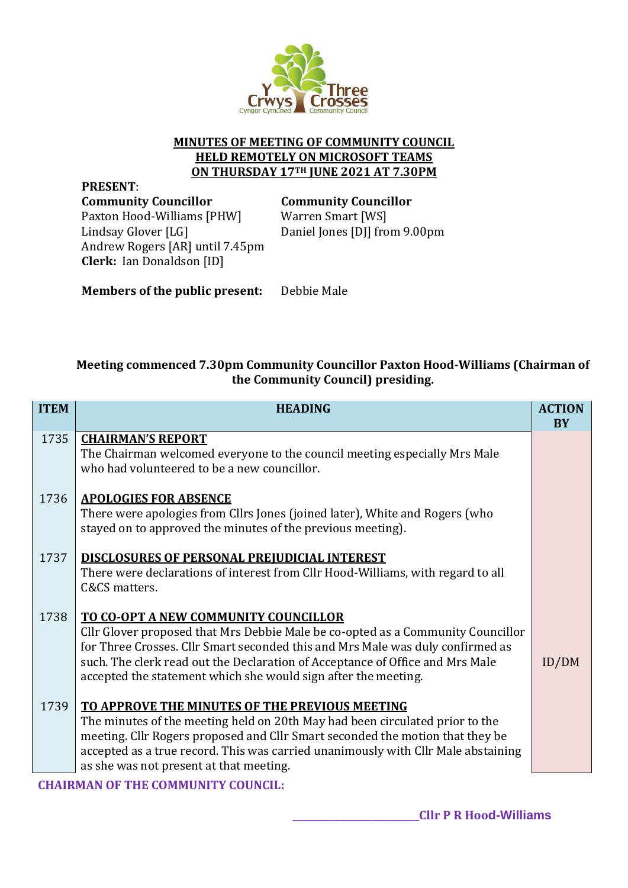

## **MINUTES OF MEETING OF COMMUNITY COUNCIL HELD REMOTELY ON MICROSOFT TEAMS ON THURSDAY 17TH JUNE 2021 AT 7.30PM**

**PRESENT**: **Community Councillor Community Councillor** Paxton Hood-Williams [PHW] Lindsay Glover [LG] Andrew Rogers [AR] until 7.45pm **Clerk:** Ian Donaldson [ID]

Warren Smart [WS] Daniel Jones [DJ] from 9.00pm

**Members of the public present:** Debbie Male

# **Meeting commenced 7.30pm Community Councillor Paxton Hood-Williams (Chairman of the Community Council) presiding.**

| <b>ITEM</b> | <b>HEADING</b>                                                                                                                                                                                                                                                                                                                                               | <b>ACTION</b><br><b>BY</b> |
|-------------|--------------------------------------------------------------------------------------------------------------------------------------------------------------------------------------------------------------------------------------------------------------------------------------------------------------------------------------------------------------|----------------------------|
| 1735        | <b>CHAIRMAN'S REPORT</b><br>The Chairman welcomed everyone to the council meeting especially Mrs Male<br>who had volunteered to be a new councillor.                                                                                                                                                                                                         |                            |
| 1736        | <b>APOLOGIES FOR ABSENCE</b><br>There were apologies from Cllrs Jones (joined later), White and Rogers (who<br>stayed on to approved the minutes of the previous meeting).                                                                                                                                                                                   |                            |
| 1737        | <b>DISCLOSURES OF PERSONAL PREJUDICIAL INTEREST</b><br>There were declarations of interest from Cllr Hood-Williams, with regard to all<br>C&CS matters.                                                                                                                                                                                                      |                            |
| 1738        | TO CO-OPT A NEW COMMUNITY COUNCILLOR<br>Cllr Glover proposed that Mrs Debbie Male be co-opted as a Community Councillor<br>for Three Crosses. Cllr Smart seconded this and Mrs Male was duly confirmed as<br>such. The clerk read out the Declaration of Acceptance of Office and Mrs Male<br>accepted the statement which she would sign after the meeting. | ID/DM                      |
| 1739        | TO APPROVE THE MINUTES OF THE PREVIOUS MEETING<br>The minutes of the meeting held on 20th May had been circulated prior to the<br>meeting. Cllr Rogers proposed and Cllr Smart seconded the motion that they be<br>accepted as a true record. This was carried unanimously with Cllr Male abstaining<br>as she was not present at that meeting.              |                            |

### **CHAIRMAN OF THE COMMUNITY COUNCIL:**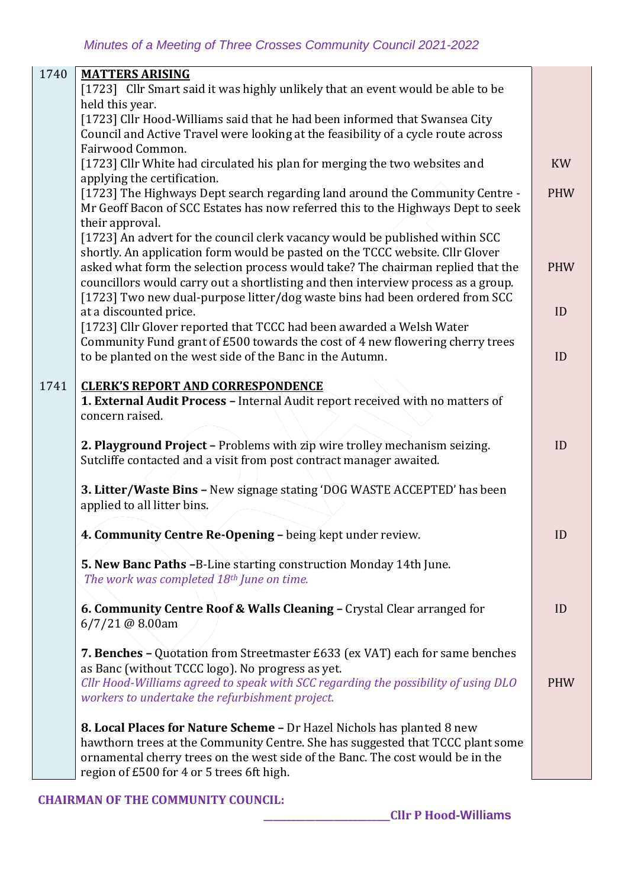| 1740 | <b>MATTERS ARISING</b><br>[1723] Cllr Smart said it was highly unlikely that an event would be able to be<br>held this year.<br>[1723] Cllr Hood-Williams said that he had been informed that Swansea City                                                                              |            |
|------|-----------------------------------------------------------------------------------------------------------------------------------------------------------------------------------------------------------------------------------------------------------------------------------------|------------|
|      | Council and Active Travel were looking at the feasibility of a cycle route across                                                                                                                                                                                                       |            |
|      | Fairwood Common.<br>[1723] Cllr White had circulated his plan for merging the two websites and<br>applying the certification.                                                                                                                                                           | <b>KW</b>  |
|      | [1723] The Highways Dept search regarding land around the Community Centre -<br>Mr Geoff Bacon of SCC Estates has now referred this to the Highways Dept to seek<br>their approval.                                                                                                     | <b>PHW</b> |
|      | [1723] An advert for the council clerk vacancy would be published within SCC<br>shortly. An application form would be pasted on the TCCC website. Cllr Glover<br>asked what form the selection process would take? The chairman replied that the                                        | <b>PHW</b> |
|      | councillors would carry out a shortlisting and then interview process as a group.                                                                                                                                                                                                       |            |
|      | [1723] Two new dual-purpose litter/dog waste bins had been ordered from SCC<br>at a discounted price.                                                                                                                                                                                   | ID         |
|      | [1723] Cllr Glover reported that TCCC had been awarded a Welsh Water<br>Community Fund grant of £500 towards the cost of 4 new flowering cherry trees                                                                                                                                   |            |
|      | to be planted on the west side of the Banc in the Autumn.                                                                                                                                                                                                                               | ID         |
| 1741 | <b>CLERK'S REPORT AND CORRESPONDENCE</b><br>1. External Audit Process - Internal Audit report received with no matters of<br>concern raised.                                                                                                                                            |            |
|      | 2. Playground Project - Problems with zip wire trolley mechanism seizing.<br>Sutcliffe contacted and a visit from post contract manager awaited.                                                                                                                                        | ID         |
|      | 3. Litter/Waste Bins - New signage stating 'DOG WASTE ACCEPTED' has been<br>applied to all litter bins.                                                                                                                                                                                 |            |
|      | 4. Community Centre Re-Opening - being kept under review.                                                                                                                                                                                                                               | ID         |
|      | 5. New Banc Paths -B-Line starting construction Monday 14th June.<br>The work was completed 18th June on time.                                                                                                                                                                          |            |
|      | 6. Community Centre Roof & Walls Cleaning - Crystal Clear arranged for<br>$6/7/21$ @ 8.00am                                                                                                                                                                                             | ID         |
|      | 7. Benches - Quotation from Streetmaster £633 (ex VAT) each for same benches<br>as Banc (without TCCC logo). No progress as yet.<br>Cllr Hood-Williams agreed to speak with SCC regarding the possibility of using DLO<br>workers to undertake the refurbishment project.               | <b>PHW</b> |
|      | 8. Local Places for Nature Scheme - Dr Hazel Nichols has planted 8 new<br>hawthorn trees at the Community Centre. She has suggested that TCCC plant some<br>ornamental cherry trees on the west side of the Banc. The cost would be in the<br>region of £500 for 4 or 5 trees 6ft high. |            |

### **CHAIRMAN OF THE COMMUNITY COUNCIL:**

 **\_\_\_\_\_\_\_\_\_\_\_\_\_\_\_\_\_\_\_\_\_\_\_\_\_\_\_Cllr P Hood-Williams**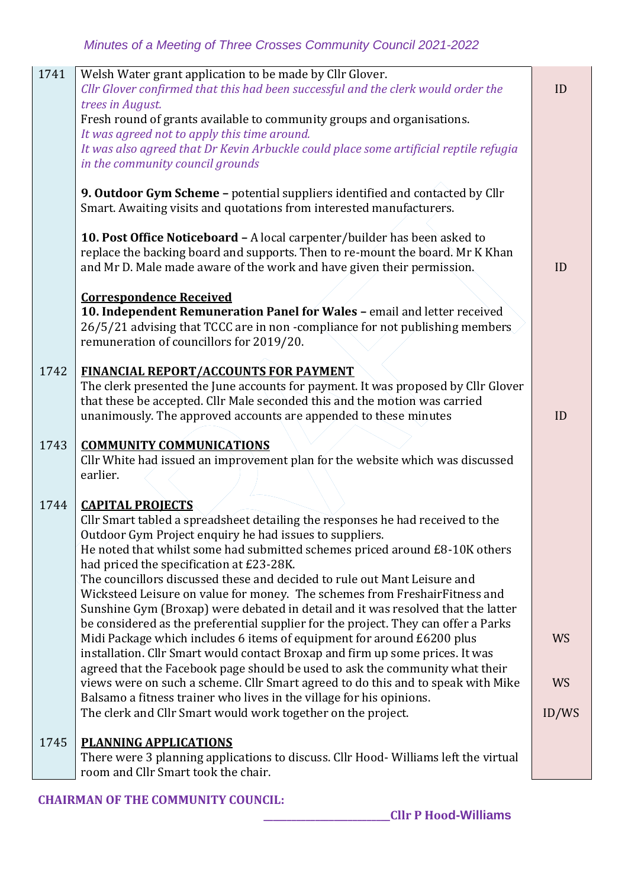| 1741 | Welsh Water grant application to be made by Cllr Glover.<br>Cllr Glover confirmed that this had been successful and the clerk would order the<br>trees in August.<br>Fresh round of grants available to community groups and organisations.<br>It was agreed not to apply this time around.<br>It was also agreed that Dr Kevin Arbuckle could place some artificial reptile refugia<br>in the community council grounds                                                                                                                                                                                                                                                                                                                                                                                                                                                                                                                                                                                                                                                                                   | ID                              |
|------|------------------------------------------------------------------------------------------------------------------------------------------------------------------------------------------------------------------------------------------------------------------------------------------------------------------------------------------------------------------------------------------------------------------------------------------------------------------------------------------------------------------------------------------------------------------------------------------------------------------------------------------------------------------------------------------------------------------------------------------------------------------------------------------------------------------------------------------------------------------------------------------------------------------------------------------------------------------------------------------------------------------------------------------------------------------------------------------------------------|---------------------------------|
|      | 9. Outdoor Gym Scheme - potential suppliers identified and contacted by Cllr<br>Smart. Awaiting visits and quotations from interested manufacturers.                                                                                                                                                                                                                                                                                                                                                                                                                                                                                                                                                                                                                                                                                                                                                                                                                                                                                                                                                       |                                 |
|      | 10. Post Office Noticeboard - A local carpenter/builder has been asked to<br>replace the backing board and supports. Then to re-mount the board. Mr K Khan<br>and Mr D. Male made aware of the work and have given their permission.                                                                                                                                                                                                                                                                                                                                                                                                                                                                                                                                                                                                                                                                                                                                                                                                                                                                       | ID                              |
|      | <b>Correspondence Received</b><br>10. Independent Remuneration Panel for Wales - email and letter received<br>26/5/21 advising that TCCC are in non-compliance for not publishing members<br>remuneration of councillors for 2019/20.                                                                                                                                                                                                                                                                                                                                                                                                                                                                                                                                                                                                                                                                                                                                                                                                                                                                      |                                 |
| 1742 | <b>FINANCIAL REPORT/ACCOUNTS FOR PAYMENT</b><br>The clerk presented the June accounts for payment. It was proposed by Cllr Glover<br>that these be accepted. Cllr Male seconded this and the motion was carried<br>unanimously. The approved accounts are appended to these minutes                                                                                                                                                                                                                                                                                                                                                                                                                                                                                                                                                                                                                                                                                                                                                                                                                        | ID                              |
| 1743 | <b>COMMUNITY COMMUNICATIONS</b><br>Cllr White had issued an improvement plan for the website which was discussed<br>earlier.                                                                                                                                                                                                                                                                                                                                                                                                                                                                                                                                                                                                                                                                                                                                                                                                                                                                                                                                                                               |                                 |
| 1744 | <b>CAPITAL PROJECTS</b><br>Cllr Smart tabled a spreadsheet detailing the responses he had received to the<br>Outdoor Gym Project enquiry he had issues to suppliers.<br>He noted that whilst some had submitted schemes priced around £8-10K others<br>had priced the specification at £23-28K.<br>The councillors discussed these and decided to rule out Mant Leisure and<br>Wicksteed Leisure on value for money. The schemes from FreshairFitness and<br>Sunshine Gym (Broxap) were debated in detail and it was resolved that the latter<br>be considered as the preferential supplier for the project. They can offer a Parks<br>Midi Package which includes 6 items of equipment for around £6200 plus<br>installation. Cllr Smart would contact Broxap and firm up some prices. It was<br>agreed that the Facebook page should be used to ask the community what their<br>views were on such a scheme. Cllr Smart agreed to do this and to speak with Mike<br>Balsamo a fitness trainer who lives in the village for his opinions.<br>The clerk and Cllr Smart would work together on the project. | <b>WS</b><br><b>WS</b><br>ID/WS |
| 1745 | <b>PLANNING APPLICATIONS</b><br>There were 3 planning applications to discuss. Cllr Hood- Williams left the virtual<br>room and Cllr Smart took the chair.                                                                                                                                                                                                                                                                                                                                                                                                                                                                                                                                                                                                                                                                                                                                                                                                                                                                                                                                                 |                                 |

### **CHAIRMAN OF THE COMMUNITY COUNCIL:**

 **\_\_\_\_\_\_\_\_\_\_\_\_\_\_\_\_\_\_\_\_\_\_\_\_\_\_\_Cllr P Hood-Williams**